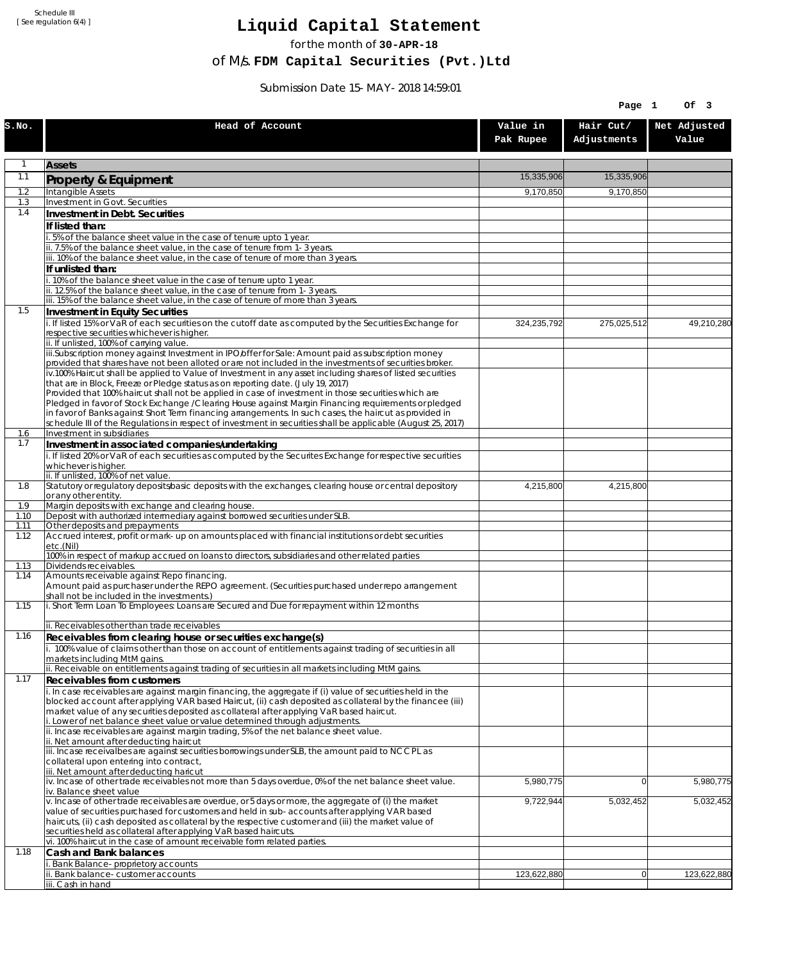Schedule III [ See regulation 6(4) ]

## **Liquid Capital Statement**

for the month of **30-APR-18**

of M/s. **FDM Capital Securities (Pvt.)Ltd**

Submission Date 15-MAY-2018 14:59:01

|            |                                                                                                                                                                                         |                       | Page 1                   | Of 3                  |
|------------|-----------------------------------------------------------------------------------------------------------------------------------------------------------------------------------------|-----------------------|--------------------------|-----------------------|
| S.NO.      | Head of Account                                                                                                                                                                         | Value in<br>Pak Rupee | Hair Cut/<br>Adjustments | Net Adjusted<br>Value |
| 1          | <b>Assets</b>                                                                                                                                                                           |                       |                          |                       |
| 1.1        | Property & Equipment                                                                                                                                                                    | 15,335,906            | 15,335,906               |                       |
| 1.2        | Intangible Assets                                                                                                                                                                       | 9,170,850             | 9,170,850                |                       |
| 1.3<br>1.4 | Investment in Govt. Securities<br>Investment in Debt. Securities                                                                                                                        |                       |                          |                       |
|            | If listed than:                                                                                                                                                                         |                       |                          |                       |
|            | i. 5% of the balance sheet value in the case of tenure upto 1 year.                                                                                                                     |                       |                          |                       |
|            | ii. 7.5% of the balance sheet value, in the case of tenure from 1-3 years.                                                                                                              |                       |                          |                       |
|            | iii. 10% of the balance sheet value, in the case of tenure of more than 3 years.<br>If unlisted than:                                                                                   |                       |                          |                       |
|            | i. 10% of the balance sheet value in the case of tenure upto 1 year.                                                                                                                    |                       |                          |                       |
|            | ii. 12.5% of the balance sheet value, in the case of tenure from 1-3 years.                                                                                                             |                       |                          |                       |
| 1.5        | iii. 15% of the balance sheet value, in the case of tenure of more than 3 years.<br>Investment in Equity Securities                                                                     |                       |                          |                       |
|            | i. If listed 15% or VaR of each securities on the cutoff date as computed by the Securities Exchange for                                                                                | 324,235,792           | 275,025,512              | 49,210,280            |
|            | respective securities whichever is higher.                                                                                                                                              |                       |                          |                       |
|            | ii. If unlisted, 100% of carrying value.<br>iii.Subscription money against Investment in IPO/offer for Sale: Amount paid as subscription money                                          |                       |                          |                       |
|            | provided that shares have not been alloted or are not included in the investments of securities broker.                                                                                 |                       |                          |                       |
|            | iv.100% Haircut shall be applied to Value of Investment in any asset including shares of listed securities                                                                              |                       |                          |                       |
|            | that are in Block, Freeze or Pledge status as on reporting date. (July 19, 2017)<br>Provided that 100% haircut shall not be applied in case of investment in those securities which are |                       |                          |                       |
|            | Pledged in favor of Stock Exchange / Clearing House against Margin Financing requirements or pledged                                                                                    |                       |                          |                       |
|            | in favor of Banks against Short Term financing arrangements. In such cases, the haircut as provided in                                                                                  |                       |                          |                       |
| 1.6        | schedule III of the Regulations in respect of investment in securities shall be applicable (August 25, 2017)<br>Investment in subsidiaries                                              |                       |                          |                       |
| 1.7        | Investment in associated companies/undertaking                                                                                                                                          |                       |                          |                       |
|            | i. If listed 20% or VaR of each securities as computed by the Securites Exchange for respective securities                                                                              |                       |                          |                       |
|            | whichever is higher.<br>ii. If unlisted, 100% of net value.                                                                                                                             |                       |                          |                       |
| 1.8        | Statutory or regulatory deposits/basic deposits with the exchanges, clearing house or central depository                                                                                | 4,215,800             | 4,215,800                |                       |
| 1.9        | or any other entity.<br>Margin deposits with exchange and clearing house.                                                                                                               |                       |                          |                       |
| 1.10       | Deposit with authorized intermediary against borrowed securities under SLB.                                                                                                             |                       |                          |                       |
| 1.11       | Other deposits and prepayments                                                                                                                                                          |                       |                          |                       |
| 1.12       | Accrued interest, profit or mark-up on amounts placed with financial institutions or debt securities<br>etc.(Nil)                                                                       |                       |                          |                       |
| 1.13       | 100% in respect of markup accrued on loans to directors, subsidiaries and other related parties<br>Dividends receivables.                                                               |                       |                          |                       |
| 1.14       | Amounts receivable against Repo financing.                                                                                                                                              |                       |                          |                       |
|            | Amount paid as purchaser under the REPO agreement. (Securities purchased under repo arrangement<br>shall not be included in the investments.)                                           |                       |                          |                       |
| 1.15       | i. Short Term Loan To Employees: Loans are Secured and Due for repayment within 12 months                                                                                               |                       |                          |                       |
|            |                                                                                                                                                                                         |                       |                          |                       |
| 1.16       | ii. Receivables other than trade receivables<br>Receivables from clearing house or securities exchange(s)                                                                               |                       |                          |                       |
|            | i. 100% value of claims other than those on account of entitlements against trading of securities in all                                                                                |                       |                          |                       |
|            | markets including MtM gains.                                                                                                                                                            |                       |                          |                       |
| 1.17       | ii. Receivable on entitlements against trading of securities in all markets including MtM gains.<br><b>Receivables from customers</b>                                                   |                       |                          |                       |
|            | i. In case receivables are against margin financing, the aggregate if (i) value of securities held in the                                                                               |                       |                          |                       |
|            | blocked account after applying VAR based Haircut, (ii) cash deposited as collateral by the financee (iii)                                                                               |                       |                          |                       |
|            | market value of any securities deposited as collateral after applying VaR based haircut.<br>i. Lower of net balance sheet value or value determined through adjustments.                |                       |                          |                       |
|            | ii. Incase receivables are against margin trading, 5% of the net balance sheet value.                                                                                                   |                       |                          |                       |
|            | ii. Net amount after deducting haircut                                                                                                                                                  |                       |                          |                       |
|            | iii. Incase receivalbes are against securities borrowings under SLB, the amount paid to NCCPL as<br>collateral upon entering into contract,                                             |                       |                          |                       |
|            | iii. Net amount after deducting haricut                                                                                                                                                 |                       |                          |                       |
|            | $iv.$ Incase of other trade receivables not more than 5 days overdue, 0% of the net balance sheet value.<br>iv. Balance sheet value                                                     | 5,980,775             | $\overline{0}$           | 5,980,775             |
|            | v. Incase of other trade receivables are overdue, or 5 days or more, the aggregate of (i) the market                                                                                    | 9,722,944             | 5,032,452                | 5,032,452             |
|            | value of securities purchased for customers and held in sub-accounts after applying VAR based                                                                                           |                       |                          |                       |
|            | haircuts, (ii) cash deposited as collateral by the respective customer and (iii) the market value of<br>securities held as collateral after applying VaR based haircuts.                |                       |                          |                       |
|            | vi. 100% haircut in the case of amount receivable form related parties.                                                                                                                 |                       |                          |                       |
| 1.18       | Cash and Bank balances                                                                                                                                                                  |                       |                          |                       |
|            | i. Bank Balance-proprietory accounts<br>ii. Bank balance-customer accounts                                                                                                              | 123,622,880           | 0                        | 123,622,880           |
|            | iii. Cash in hand                                                                                                                                                                       |                       |                          |                       |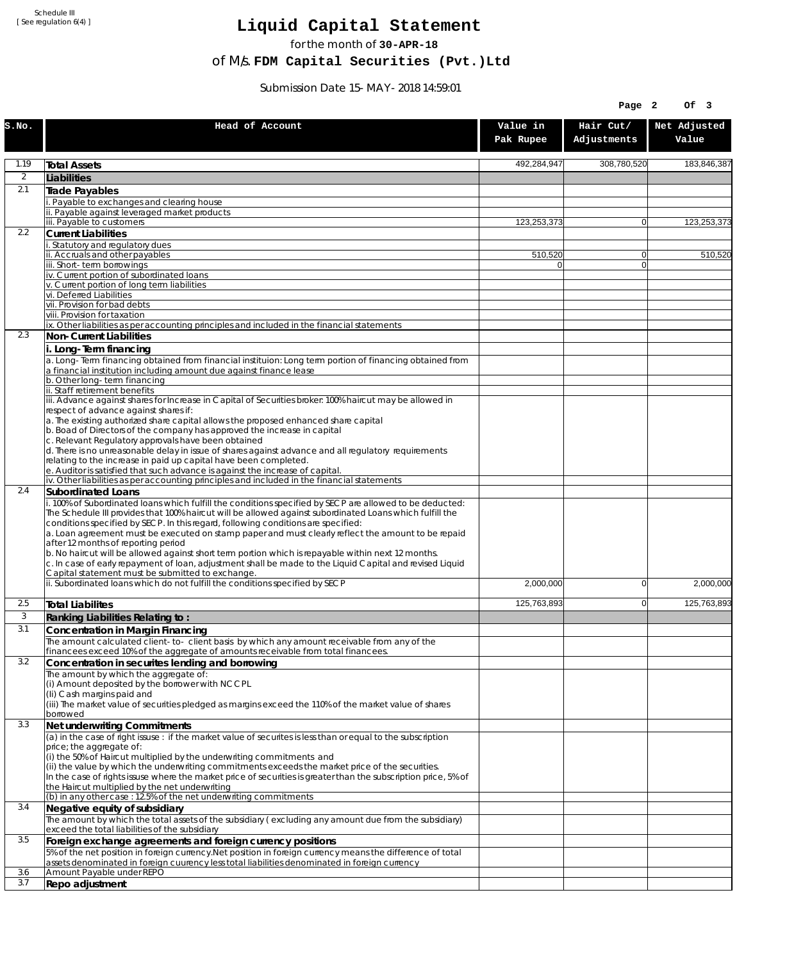Schedule III [ See regulation 6(4) ]

## **Liquid Capital Statement**

for the month of **30-APR-18**

of M/s. **FDM Capital Securities (Pvt.)Ltd**

Submission Date 15-MAY-2018 14:59:01

|                |                                                                                                                                                                                                                                                                                                                                                                                                                                                                                                                                                                                                                                                                                                                             |                       | Page 2                   | Of 3                  |
|----------------|-----------------------------------------------------------------------------------------------------------------------------------------------------------------------------------------------------------------------------------------------------------------------------------------------------------------------------------------------------------------------------------------------------------------------------------------------------------------------------------------------------------------------------------------------------------------------------------------------------------------------------------------------------------------------------------------------------------------------------|-----------------------|--------------------------|-----------------------|
| S.NO.          | Head of Account                                                                                                                                                                                                                                                                                                                                                                                                                                                                                                                                                                                                                                                                                                             | Value in<br>Pak Rupee | Hair Cut/<br>Adjustments | Net Adjusted<br>Value |
| 1.19           | <b>Total Assets</b>                                                                                                                                                                                                                                                                                                                                                                                                                                                                                                                                                                                                                                                                                                         | 492,284,947           | 308,780,520              | 183,846,387           |
| $\overline{2}$ | Liabilities                                                                                                                                                                                                                                                                                                                                                                                                                                                                                                                                                                                                                                                                                                                 |                       |                          |                       |
| 2.1            | Trade Payables                                                                                                                                                                                                                                                                                                                                                                                                                                                                                                                                                                                                                                                                                                              |                       |                          |                       |
|                | Payable to exchanges and clearing house<br>Payable against leveraged market products                                                                                                                                                                                                                                                                                                                                                                                                                                                                                                                                                                                                                                        |                       |                          |                       |
|                | iii. Payable to customers                                                                                                                                                                                                                                                                                                                                                                                                                                                                                                                                                                                                                                                                                                   | 123,253,373           | $\overline{0}$           | 123,253,373           |
| 2.2            | <b>Current Liabilities</b>                                                                                                                                                                                                                                                                                                                                                                                                                                                                                                                                                                                                                                                                                                  |                       |                          |                       |
|                | Statutory and regulatory dues<br>ii. Accruals and other payables                                                                                                                                                                                                                                                                                                                                                                                                                                                                                                                                                                                                                                                            | 510,520               | $\Omega$                 | 510,520               |
|                | iii. Short-term borrowinas                                                                                                                                                                                                                                                                                                                                                                                                                                                                                                                                                                                                                                                                                                  | U                     | $\overline{0}$           |                       |
|                | iv. Current portion of subordinated loans                                                                                                                                                                                                                                                                                                                                                                                                                                                                                                                                                                                                                                                                                   |                       |                          |                       |
|                | v. Current portion of long term liabilities<br>vi. Deferred Liabilities                                                                                                                                                                                                                                                                                                                                                                                                                                                                                                                                                                                                                                                     |                       |                          |                       |
|                | vii. Provision for bad debts                                                                                                                                                                                                                                                                                                                                                                                                                                                                                                                                                                                                                                                                                                |                       |                          |                       |
|                | viii. Provision for taxation<br>ix. Other liabilities as per accounting principles and included in the financial statements                                                                                                                                                                                                                                                                                                                                                                                                                                                                                                                                                                                                 |                       |                          |                       |
| 2.3            | Non-Current Liabilities                                                                                                                                                                                                                                                                                                                                                                                                                                                                                                                                                                                                                                                                                                     |                       |                          |                       |
|                | i. Long-Term financing                                                                                                                                                                                                                                                                                                                                                                                                                                                                                                                                                                                                                                                                                                      |                       |                          |                       |
|                | a. Long-Term financing obtained from financial instituion: Long term portion of financing obtained from<br>a financial institution including amount due against finance lease                                                                                                                                                                                                                                                                                                                                                                                                                                                                                                                                               |                       |                          |                       |
|                | b. Other long-term financing<br>ii. Staff retirement benefits                                                                                                                                                                                                                                                                                                                                                                                                                                                                                                                                                                                                                                                               |                       |                          |                       |
|                | iii. Advance against shares for Increase in Capital of Securities broker: 100% haircut may be allowed in                                                                                                                                                                                                                                                                                                                                                                                                                                                                                                                                                                                                                    |                       |                          |                       |
|                | respect of advance against shares if:                                                                                                                                                                                                                                                                                                                                                                                                                                                                                                                                                                                                                                                                                       |                       |                          |                       |
|                | a. The existing authorized share capital allows the proposed enhanced share capital<br>b. Boad of Directors of the company has approved the increase in capital                                                                                                                                                                                                                                                                                                                                                                                                                                                                                                                                                             |                       |                          |                       |
|                | c. Relevant Regulatory approvals have been obtained                                                                                                                                                                                                                                                                                                                                                                                                                                                                                                                                                                                                                                                                         |                       |                          |                       |
|                | d. There is no unreasonable delay in issue of shares against advance and all regulatory requirements<br>relating to the increase in paid up capital have been completed.                                                                                                                                                                                                                                                                                                                                                                                                                                                                                                                                                    |                       |                          |                       |
|                | e. Auditor is satisfied that such advance is against the increase of capital.                                                                                                                                                                                                                                                                                                                                                                                                                                                                                                                                                                                                                                               |                       |                          |                       |
| 2.4            | iv. Other liabilities as per accounting principles and included in the financial statements<br>Subordinated Loans                                                                                                                                                                                                                                                                                                                                                                                                                                                                                                                                                                                                           |                       |                          |                       |
|                | . 100% of Subordinated loans which fulfill the conditions specified by SECP are allowed to be deducted:<br>The Schedule III provides that 100% haircut will be allowed against subordinated Loans which fulfill the<br>conditions specified by SECP. In this regard, following conditions are specified:<br>a. Loan agreement must be executed on stamp paper and must clearly reflect the amount to be repaid<br>after 12 months of reporting period<br>b. No haircut will be allowed against short term portion which is repayable within next 12 months.<br>c. In case of early repayment of loan, adjustment shall be made to the Liquid Capital and revised Liquid<br>Capital statement must be submitted to exchange. |                       |                          |                       |
|                | ii. Subordinated loans which do not fulfill the conditions specified by SECP                                                                                                                                                                                                                                                                                                                                                                                                                                                                                                                                                                                                                                                | 2,000,000             | $\Omega$                 | 2,000,000             |
| 2.5            | <b>Total Liabilites</b>                                                                                                                                                                                                                                                                                                                                                                                                                                                                                                                                                                                                                                                                                                     | 125.763.893           | 0                        | 125,763,893           |
| 3              | Ranking Liabilities Relating to:                                                                                                                                                                                                                                                                                                                                                                                                                                                                                                                                                                                                                                                                                            |                       |                          |                       |
| 3.1            | Concentration in Margin Financing                                                                                                                                                                                                                                                                                                                                                                                                                                                                                                                                                                                                                                                                                           |                       |                          |                       |
|                | The amount calculated client-to- client basis by which any amount receivable from any of the<br>financees exceed 10% of the aggregate of amounts receivable from total financees.                                                                                                                                                                                                                                                                                                                                                                                                                                                                                                                                           |                       |                          |                       |
| 3.2            | Concentration in securites lending and borrowing                                                                                                                                                                                                                                                                                                                                                                                                                                                                                                                                                                                                                                                                            |                       |                          |                       |
|                | The amount by which the aggregate of:                                                                                                                                                                                                                                                                                                                                                                                                                                                                                                                                                                                                                                                                                       |                       |                          |                       |
|                | (i) Amount deposited by the borrower with NCCPL<br>(Ii) Cash margins paid and                                                                                                                                                                                                                                                                                                                                                                                                                                                                                                                                                                                                                                               |                       |                          |                       |
|                | (iii) The market value of securities pledged as margins exceed the 110% of the market value of shares                                                                                                                                                                                                                                                                                                                                                                                                                                                                                                                                                                                                                       |                       |                          |                       |
|                | borrowed                                                                                                                                                                                                                                                                                                                                                                                                                                                                                                                                                                                                                                                                                                                    |                       |                          |                       |
| 3.3            | Net underwriting Commitments<br>(a) in the case of right issuse : if the market value of securites is less than or equal to the subscription                                                                                                                                                                                                                                                                                                                                                                                                                                                                                                                                                                                |                       |                          |                       |
|                | price; the aggregate of:                                                                                                                                                                                                                                                                                                                                                                                                                                                                                                                                                                                                                                                                                                    |                       |                          |                       |
|                | (i) the 50% of Haircut multiplied by the underwriting commitments and<br>(ii) the value by which the underwriting commitments exceeds the market price of the securities.<br>In the case of rights issuse where the market price of securities is greater than the subscription price, 5% of                                                                                                                                                                                                                                                                                                                                                                                                                                |                       |                          |                       |
|                | the Haircut multiplied by the net underwriting<br>(b) in any other case: 12.5% of the net underwriting commitments                                                                                                                                                                                                                                                                                                                                                                                                                                                                                                                                                                                                          |                       |                          |                       |
| 3.4            | Negative equity of subsidiary                                                                                                                                                                                                                                                                                                                                                                                                                                                                                                                                                                                                                                                                                               |                       |                          |                       |
|                | The amount by which the total assets of the subsidiary (excluding any amount due from the subsidiary)<br>exceed the total liabilities of the subsidiary                                                                                                                                                                                                                                                                                                                                                                                                                                                                                                                                                                     |                       |                          |                       |
| 3.5            | Foreign exchange agreements and foreign currency positions<br>5% of the net position in foreign currency. Net position in foreign currency means the difference of total                                                                                                                                                                                                                                                                                                                                                                                                                                                                                                                                                    |                       |                          |                       |
|                | assets denominated in foreign cuurency less total liabilities denominated in foreign currency                                                                                                                                                                                                                                                                                                                                                                                                                                                                                                                                                                                                                               |                       |                          |                       |
| 3.6<br>3.7     | Amount Payable under REPO<br>Repo adjustment                                                                                                                                                                                                                                                                                                                                                                                                                                                                                                                                                                                                                                                                                |                       |                          |                       |
|                |                                                                                                                                                                                                                                                                                                                                                                                                                                                                                                                                                                                                                                                                                                                             |                       |                          |                       |